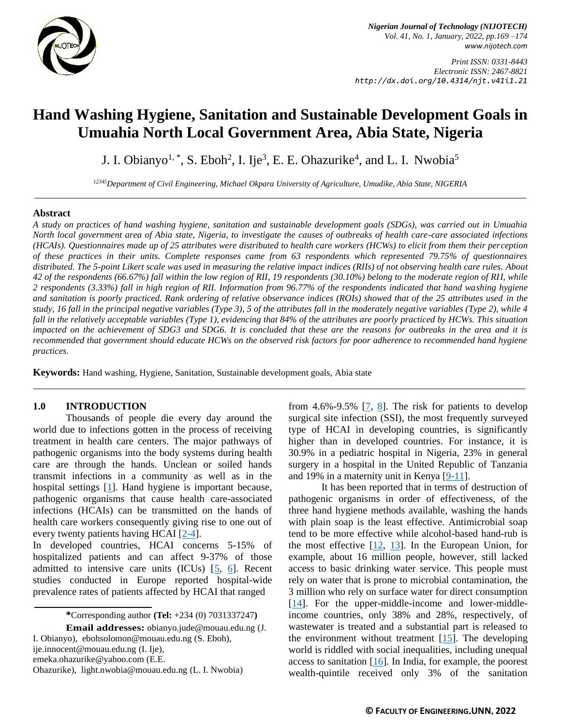

*Nigerian Journal of Technology (NIJOTECH) Vol. 41, No. 1, January, 2022, pp.169 –174 [www.nijotech.com](http://www.nijotech.com/)*

*Print ISSN: 0331-8443 Electronic ISSN: 2467-8821 http://dx.doi.org/10.4314/njt.v41i1.21*

# **Hand Washing Hygiene, Sanitation and Sustainable Development Goals in Umuahia North Local Government Area, Abia State, Nigeria**

J. I. Obianyo<sup>1,\*</sup>, S. Eboh<sup>2</sup>, I. Ije<sup>3</sup>, E. E. Ohazurike<sup>4</sup>, and L. I. Nwobia<sup>5</sup>

*<sup>12345</sup>Department of Civil Engineering, Michael Okpara University of Agriculture, Umudike, Abia State, NIGERIA*

#### **Abstract**

*A study on practices of hand washing hygiene, sanitation and sustainable development goals (SDGs), was carried out in Umuahia North local government area of Abia state, Nigeria, to investigate the causes of outbreaks of health care-care associated infections (HCAIs). Questionnaires made up of 25 attributes were distributed to health care workers (HCWs) to elicit from them their perception of these practices in their units. Complete responses came from 63 respondents which represented 79.75% of questionnaires distributed. The 5-point Likert scale was used in measuring the relative impact indices (RIIs) of not observing health care rules. About 42 of the respondents (66.67%) fall within the low region of RII, 19 respondents (30.10%) belong to the moderate region of RII, while 2 respondents (3.33%) fall in high region of RII. Information from 96.77% of the respondents indicated that hand washing hygiene and sanitation is poorly practiced. Rank ordering of relative observance indices (ROIs) showed that of the 25 attributes used in the study, 16 fall in the principal negative variables (Type 3), 5 of the attributes fall in the moderately negative variables (Type 2), while 4 fall in the relatively acceptable variables (Type 1), evidencing that 84% of the attributes are poorly practiced by HCWs. This situation impacted on the achievement of SDG3 and SDG6. It is concluded that these are the reasons for outbreaks in the area and it is recommended that government should educate HCWs on the observed risk factors for poor adherence to recommended hand hygiene practices.*

**Keywords:** Hand washing, Hygiene, Sanitation, Sustainable development goals, Abia state

### **1.0 INTRODUCTION**

Thousands of people die every day around the world due to infections gotten in the process of receiving treatment in health care centers. The major pathways of pathogenic organisms into the body systems during health care are through the hands. Unclean or soiled hands transmit infections in a community as well as in the hospital settings [\[1\]](#page-5-0). Hand hygiene is important because, pathogenic organisms that cause health care-associated infections (HCAIs) can be transmitted on the hands of health care workers consequently giving rise to one out of every twenty patients having HCAI [\[2](#page-5-1)[-4\]](#page-5-2).

In developed countries, HCAI concerns 5-15% of hospitalized patients and can affect 9-37% of those admitted to intensive care units (ICUs)  $[5, 6]$  $[5, 6]$  $[5, 6]$ . Recent studies conducted in Europe reported hospital-wide prevalence rates of patients affected by HCAI that ranged

**Email addresses:** [obianyo.jude@mouau.edu.ng](mailto:obianyo.jude@mouau.edu.ng) (J. I. Obianyo), [ebohsolomon@mouau.edu.ng](mailto:ebohsolomon@mouau.edu.ng) (S. Eboh), [ije.innocent@mouau.edu.ng](mailto:ije.innocent@mouau.edu.ng) (I. Ije), [emeka.ohazurike@yahoo.com](mailto:emeka.ohazurike@yahoo.com) (E.E. Ohazurike), [light.nwobia@mouau.edu.ng](mailto:light.nwobia@mouau.edu.ng) (L. I. Nwobia)

from 4.6%-9.5%  $[7, 8]$  $[7, 8]$ . The risk for patients to develop surgical site infection (SSI), the most frequently surveyed type of HCAI in developing countries, is significantly higher than in developed countries. For instance, it is 30.9% in a pediatric hospital in Nigeria, 23% in general surgery in a hospital in the United Republic of Tanzania and 19% in a maternity unit in Kenya [\[9](#page-5-7)[-11\]](#page-5-8).

It has been reported that in terms of destruction of pathogenic organisms in order of effectiveness, of the three hand hygiene methods available, washing the hands with plain soap is the least effective. Antimicrobial soap tend to be more effective while alcohol-based hand-rub is the most effective  $[12, 13]$  $[12, 13]$ . In the European Union, for example, about 16 million people, however, still lacked access to basic drinking water service. This people must rely on water that is prone to microbial contamination, the 3 million who rely on surface water for direct consumption [\[14\]](#page-5-11). For the upper-middle-income and lower-middleincome countries, only 38% and 28%, respectively, of wastewater is treated and a substantial part is released to the environment without treatment [\[15\]](#page-5-12). The developing world is riddled with social inequalities, including unequal access to sanitation  $[16]$ . In India, for example, the poorest wealth-quintile received only 3% of the sanitation

**<sup>\*</sup>**Corresponding author **[\(Te](mailto:samnnaemeka.ugwu@unn.edu.ng)l:** +234 (0) 7031337247**)**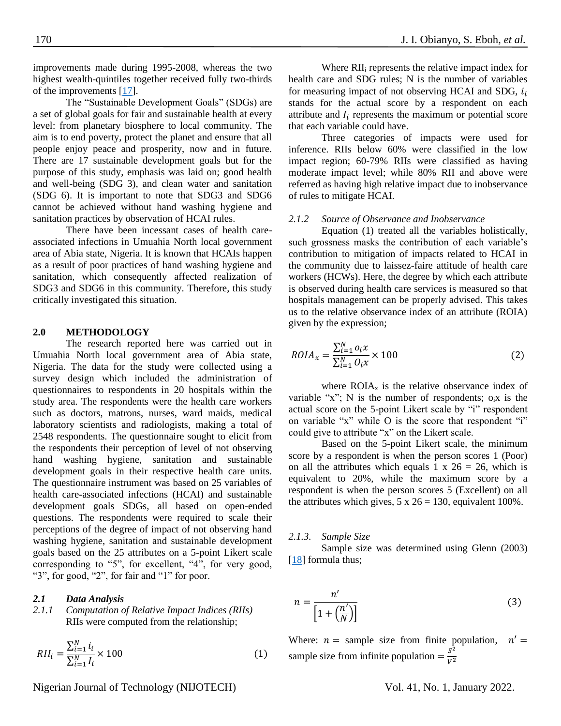improvements made during 1995-2008, whereas the two highest wealth-quintiles together received fully two-thirds of the improvements [\[17\]](#page-5-14).

The "Sustainable Development Goals" (SDGs) are a set of global goals for fair and sustainable health at every level: from planetary biosphere to local community. The aim is to end poverty, protect the planet and ensure that all people enjoy peace and prosperity, now and in future. There are 17 sustainable development goals but for the purpose of this study, emphasis was laid on; good health and well-being (SDG 3), and clean water and sanitation (SDG 6). It is important to note that SDG3 and SDG6 cannot be achieved without hand washing hygiene and sanitation practices by observation of HCAI rules.

There have been incessant cases of health careassociated infections in Umuahia North local government area of Abia state, Nigeria. It is known that HCAIs happen as a result of poor practices of hand washing hygiene and sanitation, which consequently affected realization of SDG3 and SDG6 in this community. Therefore, this study critically investigated this situation.

# **2.0 METHODOLOGY**

The research reported here was carried out in Umuahia North local government area of Abia state, Nigeria. The data for the study were collected using a survey design which included the administration of questionnaires to respondents in 20 hospitals within the study area. The respondents were the health care workers such as doctors, matrons, nurses, ward maids, medical laboratory scientists and radiologists, making a total of 2548 respondents. The questionnaire sought to elicit from the respondents their perception of level of not observing hand washing hygiene, sanitation and sustainable development goals in their respective health care units. The questionnaire instrument was based on 25 variables of health care-associated infections (HCAI) and sustainable development goals SDGs, all based on open-ended questions. The respondents were required to scale their perceptions of the degree of impact of not observing hand washing hygiene, sanitation and sustainable development goals based on the 25 attributes on a 5-point Likert scale corresponding to "5", for excellent, "4", for very good, "3", for good, "2", for fair and "1" for poor.

#### *2.1 Data Analysis*

*2.1.1 Computation of Relative Impact Indices (RIIs)* RIIs were computed from the relationship;

$$
RII_i = \frac{\sum_{i=1}^{N} i_i}{\sum_{i=1}^{N} I_i} \times 100
$$
\n(1)

Where RII<sub>i</sub> represents the relative impact index for health care and SDG rules; N is the number of variables for measuring impact of not observing HCAI and SDG,  $i_i$ stands for the actual score by a respondent on each attribute and  $I_i$  represents the maximum or potential score that each variable could have.

Three categories of impacts were used for inference. RIIs below 60% were classified in the low impact region; 60-79% RIIs were classified as having moderate impact level; while 80% RII and above were referred as having high relative impact due to inobservance of rules to mitigate HCAI.

## *2.1.2 Source of Observance and Inobservance*

Equation (1) treated all the variables holistically, such grossness masks the contribution of each variable's contribution to mitigation of impacts related to HCAI in the community due to laissez-faire attitude of health care workers (HCWs). Here, the degree by which each attribute is observed during health care services is measured so that hospitals management can be properly advised. This takes us to the relative observance index of an attribute (ROIA) given by the expression;

$$
ROIA_x = \frac{\sum_{i=1}^{N} o_i x}{\sum_{i=1}^{N} O_i x} \times 100
$$
\n<sup>(2)</sup>

where  $ROIA<sub>x</sub>$  is the relative observance index of variable "x";  $N$  is the number of respondents;  $o_i x$  is the actual score on the 5-point Likert scale by "i" respondent on variable "x" while O is the score that respondent "i" could give to attribute "x" on the Likert scale.

Based on the 5-point Likert scale, the minimum score by a respondent is when the person scores 1 (Poor) on all the attributes which equals 1 x  $26 = 26$ , which is equivalent to 20%, while the maximum score by a respondent is when the person scores 5 (Excellent) on all the attributes which gives,  $5 \times 26 = 130$ , equivalent 100%.

#### *2.1.3. Sample Size*

Sample size was determined using Glenn (2003) [\[18\]](#page-5-15) formula thus;

$$
n = \frac{n'}{\left[1 + \left(\frac{n'}{N}\right)\right]}
$$
 (3)

Where:  $n =$  sample size from finite population,  $n' =$ sample size from infinite population  $=$   $\frac{S^2}{V^2}$  $V^2$ 

Nigerian Journal of Technology (NIJOTECH) Vol. 41, No. 1, January 2022.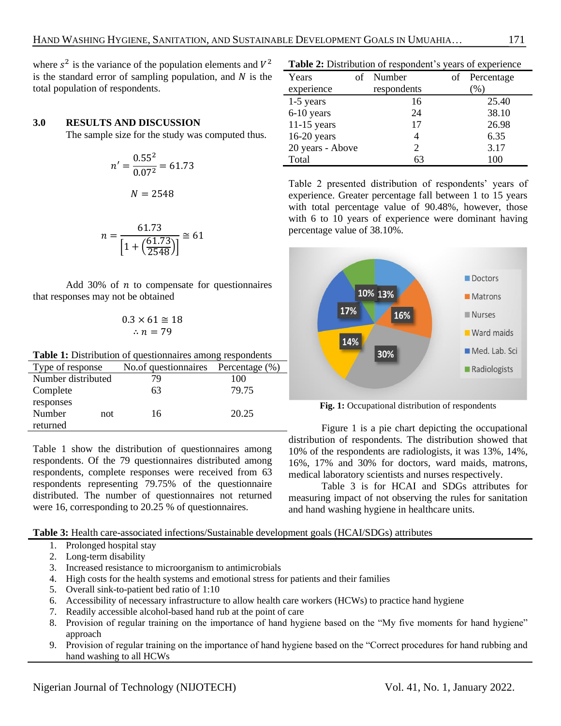where  $s^2$  is the variance of the population elements and  $V^2$ is the standard error of sampling population, and  $N$  is the total population of respondents.

### **3.0 RESULTS AND DISCUSSION**

The sample size for the study was computed thus.

$$
n' = \frac{0.55^2}{0.07^2} = 61.73
$$

$$
N = 2548
$$

$$
n = \frac{61.73}{\left[1 + \left(\frac{61.73}{2548}\right)\right]} \cong 61
$$

Add 30% of  $n$  to compensate for questionnaires that responses may not be obtained

$$
0.3 \times 61 \cong 18
$$
  

$$
\therefore n = 79
$$

Table 1: Distribution of questionnaires among respondents

| Type of response   | No.of questionnaires Percentage (%) |       |
|--------------------|-------------------------------------|-------|
| Number distributed | 79                                  | 100   |
| Complete           | 63                                  | 79.75 |
| responses          |                                     |       |
| Number<br>not      | 16                                  | 20.25 |
| returned           |                                     |       |

Table 1 show the distribution of questionnaires among respondents. Of the 79 questionnaires distributed among respondents, complete responses were received from 63 respondents representing 79.75% of the questionnaire distributed. The number of questionnaires not returned were 16, corresponding to 20.25 % of questionnaires.

**Table 3:** Health care-associated infections/Sustainable development goals (HCAI/SDGs) attributes

- 1. Prolonged hospital stay
- 2. Long-term disability
- 3. Increased resistance to microorganism to antimicrobials
- 4. High costs for the health systems and emotional stress for patients and their families
- 5. Overall sink-to-patient bed ratio of 1:10
- 6. Accessibility of necessary infrastructure to allow health care workers (HCWs) to practice hand hygiene
- 7. Readily accessible alcohol-based hand rub at the point of care
- 8. Provision of regular training on the importance of hand hygiene based on the "My five moments for hand hygiene" approach
- 9. Provision of regular training on the importance of hand hygiene based on the "Correct procedures for hand rubbing and hand washing to all HCWs

**Table 2:** Distribution of respondent's years of experience

| Years            | of Number   | of Percentage   |
|------------------|-------------|-----------------|
| experience       | respondents | $\mathcal{O}_0$ |
| $1-5$ years      | 16          | 25.40           |
| 6-10 years       | 24          | 38.10           |
| $11-15$ years    | 17          | 26.98           |
| $16-20$ years    |             | 6.35            |
| 20 years - Above | 2           | 3.17            |
| Total            | 63          | 100             |

Table 2 presented distribution of respondents' years of experience. Greater percentage fall between 1 to 15 years with total percentage value of 90.48%, however, those with 6 to 10 years of experience were dominant having percentage value of 38.10%.



Fig. 1: Occupational distribution of respondents

Figure 1 is a pie chart depicting the occupational distribution of respondents. The distribution showed that 10% of the respondents are radiologists, it was 13%, 14%, 16%, 17% and 30% for doctors, ward maids, matrons, medical laboratory scientists and nurses respectively.

Table 3 is for HCAI and SDGs attributes for measuring impact of not observing the rules for sanitation and hand washing hygiene in healthcare units.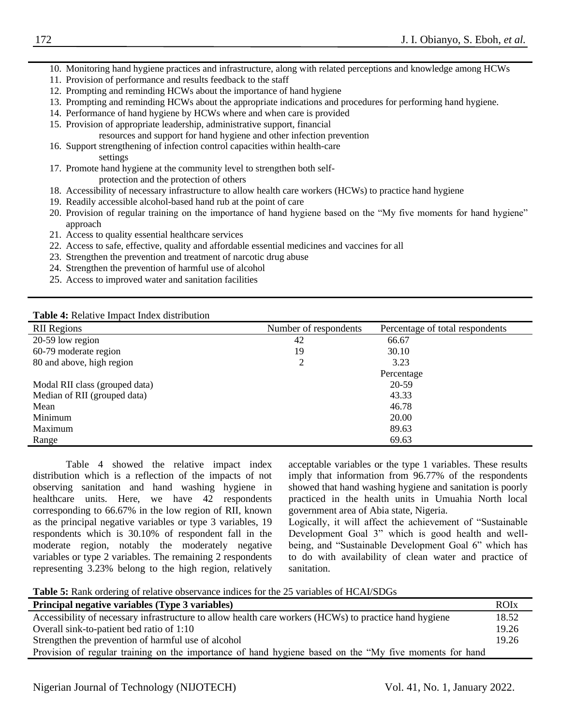- 10. Monitoring hand hygiene practices and infrastructure, along with related perceptions and knowledge among HCWs
- 11. Provision of performance and results feedback to the staff
- 12. Prompting and reminding HCWs about the importance of hand hygiene
- 13. Prompting and reminding HCWs about the appropriate indications and procedures for performing hand hygiene.
- 14. Performance of hand hygiene by HCWs where and when care is provided
- 15. Provision of appropriate leadership, administrative support, financial resources and support for hand hygiene and other infection prevention
- 16. Support strengthening of infection control capacities within health-care settings
- 17. Promote hand hygiene at the community level to strengthen both selfprotection and the protection of others
- 18. Accessibility of necessary infrastructure to allow health care workers (HCWs) to practice hand hygiene
- 19. Readily accessible alcohol-based hand rub at the point of care
- 20. Provision of regular training on the importance of hand hygiene based on the "My five moments for hand hygiene" approach
- 21. Access to quality essential healthcare services
- 22. Access to safe, effective, quality and affordable essential medicines and vaccines for all
- 23. Strengthen the prevention and treatment of narcotic drug abuse
- 24. Strengthen the prevention of harmful use of alcohol
- 25. Access to improved water and sanitation facilities

**Table 4:** Relative Impact Index distribution

| <b>RII</b> Regions             | Number of respondents | Percentage of total respondents |
|--------------------------------|-----------------------|---------------------------------|
| 20-59 low region               | 42                    | 66.67                           |
| 60-79 moderate region          | 19                    | 30.10                           |
| 80 and above, high region      | $\overline{c}$        | 3.23                            |
|                                |                       | Percentage                      |
| Modal RII class (grouped data) |                       | 20-59                           |
| Median of RII (grouped data)   |                       | 43.33                           |
| Mean                           |                       | 46.78                           |
| Minimum                        |                       | 20.00                           |
| Maximum                        |                       | 89.63                           |
| Range                          |                       | 69.63                           |

Table 4 showed the relative impact index distribution which is a reflection of the impacts of not observing sanitation and hand washing hygiene in healthcare units. Here, we have 42 respondents corresponding to 66.67% in the low region of RII, known as the principal negative variables or type 3 variables, 19 respondents which is 30.10% of respondent fall in the moderate region, notably the moderately negative variables or type 2 variables. The remaining 2 respondents representing 3.23% belong to the high region, relatively acceptable variables or the type 1 variables. These results imply that information from 96.77% of the respondents showed that hand washing hygiene and sanitation is poorly practiced in the health units in Umuahia North local government area of Abia state, Nigeria.

Logically, it will affect the achievement of "Sustainable Development Goal 3" which is good health and wellbeing, and "Sustainable Development Goal 6" which has to do with availability of clean water and practice of sanitation.

**Table 5:** Rank ordering of relative observance indices for the 25 variables of HCAI/SDGs

| Principal negative variables (Type 3 variables)                                                        | <b>ROI</b> x |
|--------------------------------------------------------------------------------------------------------|--------------|
| Accessibility of necessary infrastructure to allow health care workers (HCWs) to practice hand hygiene | 18.52        |
| Overall sink-to-patient bed ratio of 1:10                                                              | 19.26        |
| Strengthen the prevention of harmful use of alcohol                                                    | 19.26        |
| Provision of regular training on the importance of hand hygiene based on the "My five moments for hand |              |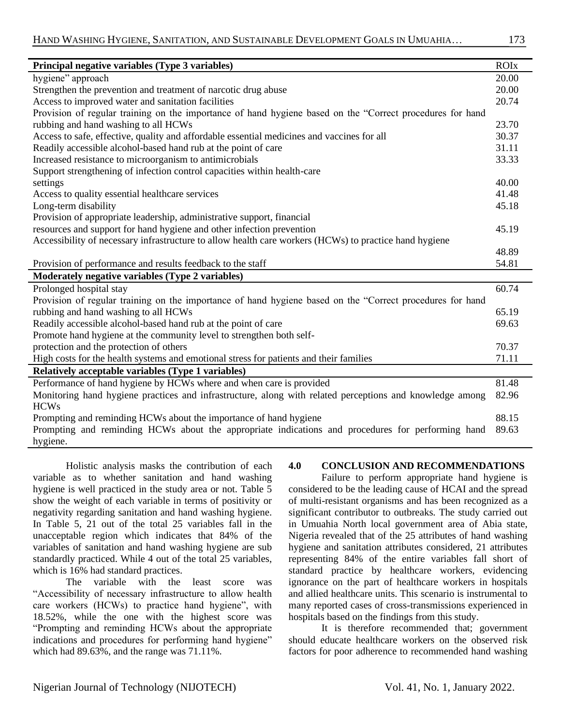| Principal negative variables (Type 3 variables)                                                           | <b>ROIx</b> |
|-----------------------------------------------------------------------------------------------------------|-------------|
| hygiene" approach                                                                                         | 20.00       |
| Strengthen the prevention and treatment of narcotic drug abuse                                            | 20.00       |
| Access to improved water and sanitation facilities                                                        |             |
| Provision of regular training on the importance of hand hygiene based on the "Correct procedures for hand |             |
| rubbing and hand washing to all HCWs                                                                      | 23.70       |
| Access to safe, effective, quality and affordable essential medicines and vaccines for all                | 30.37       |
| Readily accessible alcohol-based hand rub at the point of care                                            | 31.11       |
| Increased resistance to microorganism to antimicrobials                                                   | 33.33       |
| Support strengthening of infection control capacities within health-care                                  |             |
| settings                                                                                                  | 40.00       |
| Access to quality essential healthcare services                                                           | 41.48       |
| Long-term disability                                                                                      | 45.18       |
| Provision of appropriate leadership, administrative support, financial                                    |             |
| resources and support for hand hygiene and other infection prevention                                     | 45.19       |
| Accessibility of necessary infrastructure to allow health care workers (HCWs) to practice hand hygiene    |             |
|                                                                                                           | 48.89       |
| Provision of performance and results feedback to the staff                                                | 54.81       |
| Moderately negative variables (Type 2 variables)                                                          |             |
| Prolonged hospital stay                                                                                   | 60.74       |
| Provision of regular training on the importance of hand hygiene based on the "Correct procedures for hand |             |
| rubbing and hand washing to all HCWs                                                                      | 65.19       |
| Readily accessible alcohol-based hand rub at the point of care                                            | 69.63       |
| Promote hand hygiene at the community level to strengthen both self-                                      |             |
| protection and the protection of others                                                                   | 70.37       |
| High costs for the health systems and emotional stress for patients and their families                    | 71.11       |
| Relatively acceptable variables (Type 1 variables)                                                        |             |
| Performance of hand hygiene by HCWs where and when care is provided                                       | 81.48       |
| Monitoring hand hygiene practices and infrastructure, along with related perceptions and knowledge among  | 82.96       |
| <b>HCWs</b>                                                                                               |             |
| Prompting and reminding HCWs about the importance of hand hygiene                                         | 88.15       |
| Prompting and reminding HCWs about the appropriate indications and procedures for performing hand         | 89.63       |
| hygiene.                                                                                                  |             |

Holistic analysis masks the contribution of each variable as to whether sanitation and hand washing hygiene is well practiced in the study area or not. Table 5 show the weight of each variable in terms of positivity or negativity regarding sanitation and hand washing hygiene. In Table 5, 21 out of the total 25 variables fall in the unacceptable region which indicates that 84% of the variables of sanitation and hand washing hygiene are sub standardly practiced. While 4 out of the total 25 variables, which is 16% had standard practices.

The variable with the least score was "Accessibility of necessary infrastructure to allow health care workers (HCWs) to practice hand hygiene", with 18.52%, while the one with the highest score was "Prompting and reminding HCWs about the appropriate indications and procedures for performing hand hygiene" which had 89.63%, and the range was 71.11%.

# **4.0 CONCLUSION AND RECOMMENDATIONS**

Failure to perform appropriate hand hygiene is considered to be the leading cause of HCAI and the spread of multi-resistant organisms and has been recognized as a significant contributor to outbreaks. The study carried out in Umuahia North local government area of Abia state, Nigeria revealed that of the 25 attributes of hand washing hygiene and sanitation attributes considered, 21 attributes representing 84% of the entire variables fall short of standard practice by healthcare workers, evidencing ignorance on the part of healthcare workers in hospitals and allied healthcare units. This scenario is instrumental to many reported cases of cross-transmissions experienced in hospitals based on the findings from this study.

It is therefore recommended that; government should educate healthcare workers on the observed risk factors for poor adherence to recommended hand washing